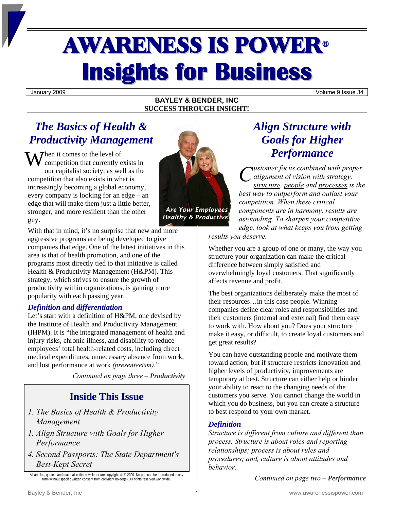# AWARENESS IS POWER<sup>ü</sup> **Insights for Business**

January 2009 Volume 9 Issue 34

## **BAYLEY & BENDER, INC SUCCESS THROUGH INSIGHT!**

# *The Basics of Health & Productivity Management*

When it comes to the level of<br>competition that currently e competition that currently exists in our capitalist society, as well as the competition that also exists in what is increasingly becoming a global economy, every company is looking for an edge – an edge that will make them just a little better, stronger, and more resilient than the other guy.



*Healthy & Productive?* 

With that in mind, it's no surprise that new and more aggressive programs are being developed to give companies that edge. One of the latest initiatives in this area is that of health promotion, and one of the programs most directly tied to that initiative is called Health & Productivity Management (H&PM). This strategy, which strives to ensure the growth of productivity within organizations, is gaining more popularity with each passing year.

# *Definition and differentiation*

Let's start with a definition of H&PM, one devised by the Institute of Health and Productivity Management (IHPM). It is "the integrated management of health and injury risks, chronic illness, and disability to reduce employees' total health-related costs, including direct medical expenditures, unnecessary absence from work, and lost performance at work *(presenteeism).*"

*Continued on page three – Productivity* 

# **Inside This Issue**

- *1. The Basics of Health & Productivity Management*
- *1. Align Structure with Goals for Higher Performance*
- *4. Second Passports: The State Department's Best-Kept Secret*

# *Align Structure with Goals for Higher Performance*

*ustomer focus combined with proper alignment of vision with strategy, structure, people and processes is the best way to outperform and outlast your competition. When these critical components are in harmony, results are astounding. To sharpen your competitive edge, look at what keeps you from getting C*

*results you deserve.* 

Whether you are a group of one or many, the way you structure your organization can make the critical difference between simply satisfied and overwhelmingly loyal customers. That significantly affects revenue and profit.

The best organizations deliberately make the most of their resources…in this case people. Winning companies define clear roles and responsibilities and their customers (internal and external) find them easy to work with. How about you? Does your structure make it easy, or difficult, to create loyal customers and get great results?

You can have outstanding people and motivate them toward action, but if structure restricts innovation and higher levels of productivity, improvements are temporary at best. Structure can either help or hinder your ability to react to the changing needs of the customers you serve. You cannot change the world in which you do business, but you can create a structure to best respond to your own market.

# *Definition*

*Structure is different from culture and different than process. Structure is about roles and reporting relationships; process is about rules and procedures; and, culture is about attitudes and behavior.* 

*Continued on page two – Performance* 

All articles, quotes, and material in this newsletter are copyrighted. © 2009. No part can be reproduced in any<br>form without specific written consent from copyright holder(s). All rights reserved worldwide.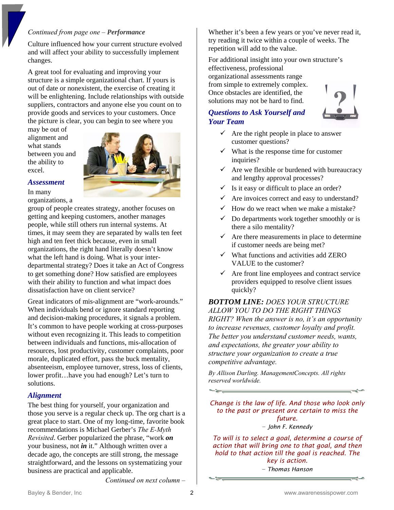#### *Continued from page one – Performance*

Culture influenced how your current structure evolved and will affect your ability to successfully implement changes.

A great tool for evaluating and improving your structure is a simple organizational chart. If yours is out of date or nonexistent, the exercise of creating it will be enlightening. Include relationships with outside suppliers, contractors and anyone else you count on to provide goods and services to your customers. Once the picture is clear, you can begin to see where you

may be out of alignment and what stands between you and the ability to excel.



#### *Assessment*

In many organizations, a

group of people creates strategy, another focuses on getting and keeping customers, another manages people, while still others run internal systems. At times, it may seem they are separated by walls ten feet high and ten feet thick because, even in small organizations, the right hand literally doesn't know what the left hand is doing. What is your interdepartmental strategy? Does it take an Act of Congress to get something done? How satisfied are employees with their ability to function and what impact does dissatisfaction have on client service?

Great indicators of mis-alignment are "work-arounds." When individuals bend or ignore standard reporting and decision-making procedures, it signals a problem. It's common to have people working at cross-purposes without even recognizing it. This leads to competition between individuals and functions, mis-allocation of resources, lost productivity, customer complaints, poor morale, duplicated effort, pass the buck mentality, absenteeism, employee turnover, stress, loss of clients, lower profit…have you had enough? Let's turn to solutions.

## *Alignment*

The best thing for yourself, your organization and those you serve is a regular check up. The org chart is a great place to start. One of my long-time, favorite book recommendations is Michael Gerber's *The E-Myth Revisited*. Gerber popularized the phrase, "work *on* your business, not *in* it." Although written over a decade ago, the concepts are still strong, the message straightforward, and the lessons on systematizing your business are practical and applicable.

*Continued on next column –* 

Whether it's been a few years or you've never read it, try reading it twice within a couple of weeks. The repetition will add to the value.

For additional insight into your own structure's effectiveness, professional organizational assessments range from simple to extremely complex. Once obstacles are identified, the solutions may not be hard to find.

# *Questions to Ask Yourself and Your Team*



- $\checkmark$  Are the right people in place to answer customer questions?
- $\checkmark$  What is the response time for customer inquiries?
- $\checkmark$  Are we flexible or burdened with bureaucracy and lengthy approval processes?
- $\checkmark$  Is it easy or difficult to place an order?
- Are invoices correct and easy to understand?
- How do we react when we make a mistake?
- $\checkmark$  Do departments work together smoothly or is there a silo mentality?
- $\checkmark$  Are there measurements in place to determine if customer needs are being met?
- $\checkmark$  What functions and activities add ZERO VALUE to the customer?
- $\checkmark$  Are front line employees and contract service providers equipped to resolve client issues quickly?

*BOTTOM LINE: DOES YOUR STRUCTURE ALLOW YOU TO DO THE RIGHT THINGS RIGHT? When the answer is no, it's an opportunity to increase revenues, customer loyalty and profit. The better you understand customer needs, wants, and expectations, the greater your ability to structure your organization to create a true competitive advantage.*

*By Allison Darling. ManagementConcepts. All rights reserved worldwide.* 

*Change is the law of life. And those who look only to the past or present are certain to miss the future. − John F. Kennedy*

*To will is to select a goal, determine a course of action that will bring one to that goal, and then hold to that action till the goal is reached. The key is action. − Thomas Hanson*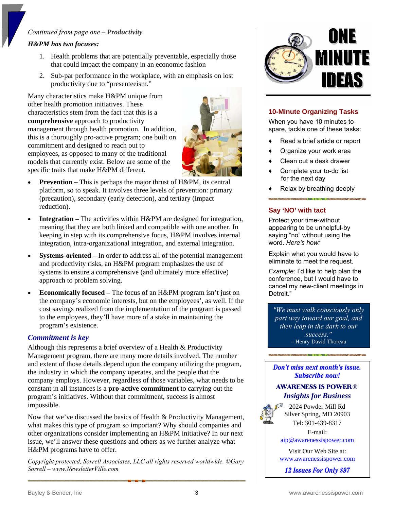## *Continued from page one – Productivity*

#### *H&PM has two focuses:*

- 1. Health problems that are potentially preventable, especially those that could impact the company in an economic fashion
- 2. Sub-par performance in the workplace, with an emphasis on lost productivity due to "presenteeism."

Many characteristics make H&PM unique from other health promotion initiatives. These characteristics stem from the fact that this is a **comprehensive** approach to productivity management through health promotion. In addition, this is a thoroughly pro-active program; one built on commitment and designed to reach out to employees, as opposed to many of the traditional models that currently exist. Below are some of the specific traits that make H&PM different.



- **Prevention** This is perhaps the major thrust of H&PM, its central platform, so to speak. It involves three levels of prevention: primary (precaution), secondary (early detection), and tertiary (impact reduction).
- **Integration** The activities within H&PM are designed for integration, meaning that they are both linked and compatible with one another. In keeping in step with its comprehensive focus, H&PM involves internal integration, intra-organizational integration, and external integration.
- **Systems-oriented** In order to address all of the potential management and productivity risks, an H&PM program emphasizes the use of systems to ensure a comprehensive (and ultimately more effective) approach to problem solving.
- **Economically focused** The focus of an H&PM program isn't just on the company's economic interests, but on the employees', as well. If the cost savings realized from the implementation of the program is passed to the employees, they'll have more of a stake in maintaining the program's existence.

## *Commitment is key*

Although this represents a brief overview of a Health & Productivity Management program, there are many more details involved. The number and extent of those details depend upon the company utilizing the program, the industry in which the company operates, and the people that the company employs. However, regardless of those variables, what needs to be constant in all instances is a **pro-active commitment** to carrying out the program's initiatives. Without that commitment, success is almost impossible.

Now that we've discussed the basics of Health & Productivity Management, what makes this type of program so important? Why should companies and other organizations consider implementing an H&PM initiative? In our next issue, we'll answer these questions and others as we further analyze what H&PM programs have to offer.

*Copyright protected, Sorrell Associates, LLC all rights reserved worldwide. ©Gary Sorrell – www.NewsletterVille.com* 



## **10-Minute Organizing Tasks**

When you have 10 minutes to spare, tackle one of these tasks:

- Read a brief article or report
- Organize your work area
- Clean out a desk drawer
- Complete your to-do list for the next day
- Relax by breathing deeply

**The Committee of the Committee of the Committee of the Committee of the Committee of the Committee of the Committee** 

#### **Say 'NO' with tact**

Protect your time-without appearing to be unhelpful-by saying "no" without using the word. *Here's how:* 

Explain what you would have to eliminate to meet the request.

*Example:* I'd like to help plan the conference, but I would have to cancel my new-client meetings in Detroit."

*"We must walk consciously only part way toward our goal, and then leap in the dark to our success."*  – Henry David Thoreau

Don't miss next month's issue. **Subscribe now!** 

# **AWARENESS IS POWER®** *Insights for Business*

2024 Powder Mill Rd Silver Spring, MD 20903 Tel: 301-439-8317

E-mail: [aip@awarenessispower.com](mailto:aip@awarenessispower.com)

Visit Our Web Site at: [www.awarenessispower.com](http://www.awarenessispower.com/)

12 **Issues For Only \$97**